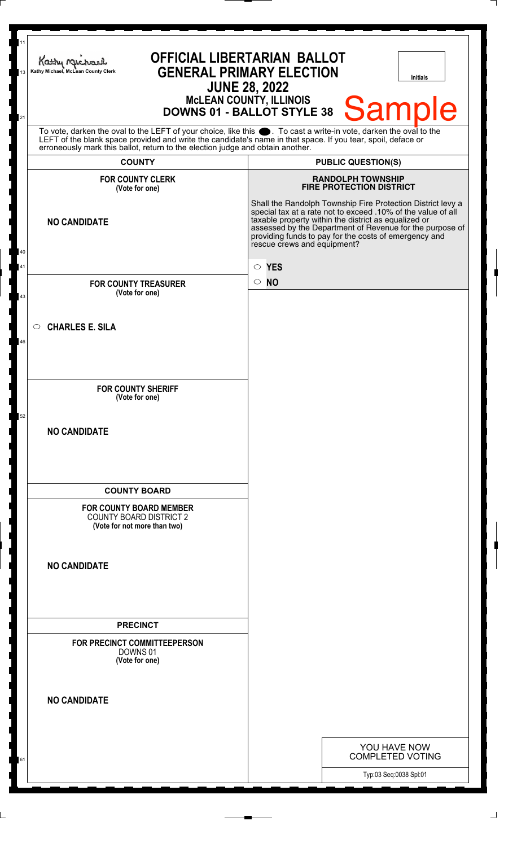| 11<br>13<br>21 | <b>OFFICIAL LIBERTARIAN BALLOT</b><br>Kathy Michael<br><b>GENERAL PRIMARY ELECTION</b><br>Kathy Michael, McLean County Clerk<br><b>Initials</b><br><b>JUNE 28, 2022</b><br>MCLEAN COUNTY, ILLINOIS<br>DOWNS 01 - BALLOT STYLE 38 Sample                                                                                |                                                                                                                                                                                                                                                                                                                                         |  |  |  |  |
|----------------|------------------------------------------------------------------------------------------------------------------------------------------------------------------------------------------------------------------------------------------------------------------------------------------------------------------------|-----------------------------------------------------------------------------------------------------------------------------------------------------------------------------------------------------------------------------------------------------------------------------------------------------------------------------------------|--|--|--|--|
|                | To vote, darken the oval to the LEFT of your choice, like this $\bullet$ . To cast a write-in vote, darken the oval to the LEFT of the blank space provided and write the candidate's name in that space. If you tear, spoil, deface<br>erroneously mark this ballot, return to the election judge and obtain another. |                                                                                                                                                                                                                                                                                                                                         |  |  |  |  |
|                | <b>COUNTY</b>                                                                                                                                                                                                                                                                                                          | <b>PUBLIC QUESTION(S)</b>                                                                                                                                                                                                                                                                                                               |  |  |  |  |
|                | <b>FOR COUNTY CLERK</b><br>(Vote for one)                                                                                                                                                                                                                                                                              | <b>RANDOLPH TOWNSHIP</b><br><b>FIRE PROTECTION DISTRICT</b>                                                                                                                                                                                                                                                                             |  |  |  |  |
|                | <b>NO CANDIDATE</b>                                                                                                                                                                                                                                                                                                    | Shall the Randolph Township Fire Protection District levy a<br>special tax at a rate not to exceed .10% of the value of all<br>taxable property within the district as equalized or<br>assessed by the Department of Revenue for the purpose of<br>providing funds to pay for the costs of emergency and<br>rescue crews and equipment? |  |  |  |  |
| 40<br>41       |                                                                                                                                                                                                                                                                                                                        | $\circ$ YES                                                                                                                                                                                                                                                                                                                             |  |  |  |  |
|                | <b>FOR COUNTY TREASURER</b>                                                                                                                                                                                                                                                                                            | $\circ$ NO                                                                                                                                                                                                                                                                                                                              |  |  |  |  |
| 43             | (Vote for one)                                                                                                                                                                                                                                                                                                         |                                                                                                                                                                                                                                                                                                                                         |  |  |  |  |
|                |                                                                                                                                                                                                                                                                                                                        |                                                                                                                                                                                                                                                                                                                                         |  |  |  |  |
|                | <b>CHARLES E. SILA</b><br>$\bigcirc$                                                                                                                                                                                                                                                                                   |                                                                                                                                                                                                                                                                                                                                         |  |  |  |  |
| 46             |                                                                                                                                                                                                                                                                                                                        |                                                                                                                                                                                                                                                                                                                                         |  |  |  |  |
|                |                                                                                                                                                                                                                                                                                                                        |                                                                                                                                                                                                                                                                                                                                         |  |  |  |  |
|                | <b>FOR COUNTY SHERIFF</b>                                                                                                                                                                                                                                                                                              |                                                                                                                                                                                                                                                                                                                                         |  |  |  |  |
|                | (Vote for one)                                                                                                                                                                                                                                                                                                         |                                                                                                                                                                                                                                                                                                                                         |  |  |  |  |
| 52             |                                                                                                                                                                                                                                                                                                                        |                                                                                                                                                                                                                                                                                                                                         |  |  |  |  |
|                | <b>NO CANDIDATE</b>                                                                                                                                                                                                                                                                                                    |                                                                                                                                                                                                                                                                                                                                         |  |  |  |  |
|                |                                                                                                                                                                                                                                                                                                                        |                                                                                                                                                                                                                                                                                                                                         |  |  |  |  |
|                |                                                                                                                                                                                                                                                                                                                        |                                                                                                                                                                                                                                                                                                                                         |  |  |  |  |
|                | <b>COUNTY BOARD</b>                                                                                                                                                                                                                                                                                                    |                                                                                                                                                                                                                                                                                                                                         |  |  |  |  |
|                | <b>FOR COUNTY BOARD MEMBER</b><br><b>COUNTY BOARD DISTRICT 2</b><br>(Vote for not more than two)                                                                                                                                                                                                                       |                                                                                                                                                                                                                                                                                                                                         |  |  |  |  |
|                |                                                                                                                                                                                                                                                                                                                        |                                                                                                                                                                                                                                                                                                                                         |  |  |  |  |
|                | <b>NO CANDIDATE</b>                                                                                                                                                                                                                                                                                                    |                                                                                                                                                                                                                                                                                                                                         |  |  |  |  |
|                |                                                                                                                                                                                                                                                                                                                        |                                                                                                                                                                                                                                                                                                                                         |  |  |  |  |
|                |                                                                                                                                                                                                                                                                                                                        |                                                                                                                                                                                                                                                                                                                                         |  |  |  |  |
|                | <b>PRECINCT</b>                                                                                                                                                                                                                                                                                                        |                                                                                                                                                                                                                                                                                                                                         |  |  |  |  |
|                | FOR PRECINCT COMMITTEEPERSON<br>DOWNS 01<br>(Vote for one)                                                                                                                                                                                                                                                             |                                                                                                                                                                                                                                                                                                                                         |  |  |  |  |
|                |                                                                                                                                                                                                                                                                                                                        |                                                                                                                                                                                                                                                                                                                                         |  |  |  |  |
|                | <b>NO CANDIDATE</b>                                                                                                                                                                                                                                                                                                    |                                                                                                                                                                                                                                                                                                                                         |  |  |  |  |
|                |                                                                                                                                                                                                                                                                                                                        |                                                                                                                                                                                                                                                                                                                                         |  |  |  |  |
|                |                                                                                                                                                                                                                                                                                                                        | YOU HAVE NOW                                                                                                                                                                                                                                                                                                                            |  |  |  |  |
| 61             |                                                                                                                                                                                                                                                                                                                        | <b>COMPLETED VOTING</b>                                                                                                                                                                                                                                                                                                                 |  |  |  |  |
|                |                                                                                                                                                                                                                                                                                                                        | Typ:03 Seq:0038 Spl:01                                                                                                                                                                                                                                                                                                                  |  |  |  |  |
|                |                                                                                                                                                                                                                                                                                                                        |                                                                                                                                                                                                                                                                                                                                         |  |  |  |  |

 $\perp$